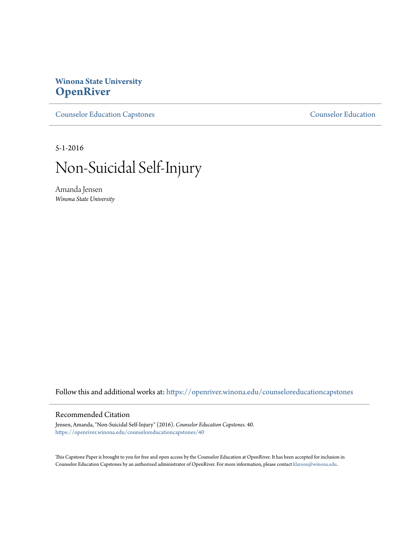# **Winona State University [OpenRiver](https://openriver.winona.edu?utm_source=openriver.winona.edu%2Fcounseloreducationcapstones%2F40&utm_medium=PDF&utm_campaign=PDFCoverPages)**

[Counselor Education Capstones](https://openriver.winona.edu/counseloreducationcapstones?utm_source=openriver.winona.edu%2Fcounseloreducationcapstones%2F40&utm_medium=PDF&utm_campaign=PDFCoverPages) [Counselor Education](https://openriver.winona.edu/counseloreducation?utm_source=openriver.winona.edu%2Fcounseloreducationcapstones%2F40&utm_medium=PDF&utm_campaign=PDFCoverPages)

5-1-2016



Amanda Jensen *Winona State University*

Follow this and additional works at: [https://openriver.winona.edu/counseloreducationcapstones](https://openriver.winona.edu/counseloreducationcapstones?utm_source=openriver.winona.edu%2Fcounseloreducationcapstones%2F40&utm_medium=PDF&utm_campaign=PDFCoverPages)

### Recommended Citation

Jensen, Amanda, "Non-Suicidal Self-Injury" (2016). *Counselor Education Capstones*. 40. [https://openriver.winona.edu/counseloreducationcapstones/40](https://openriver.winona.edu/counseloreducationcapstones/40?utm_source=openriver.winona.edu%2Fcounseloreducationcapstones%2F40&utm_medium=PDF&utm_campaign=PDFCoverPages)

This Capstone Paper is brought to you for free and open access by the Counselor Education at OpenRiver. It has been accepted for inclusion in Counselor Education Capstones by an authorized administrator of OpenRiver. For more information, please contact [klarson@winona.edu](mailto:klarson@winona.edu).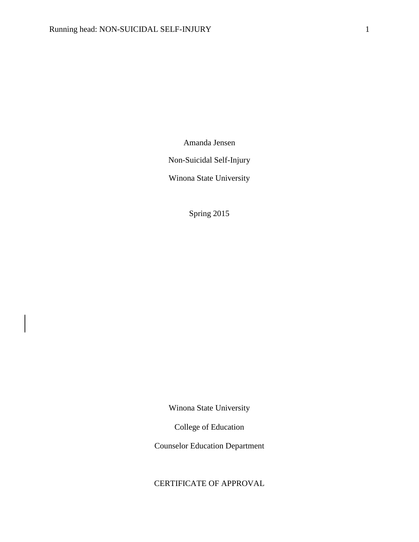Amanda Jensen

Non-Suicidal Self-Injury

Winona State University

Spring 2015

Winona State University

College of Education

Counselor Education Department

CERTIFICATE OF APPROVAL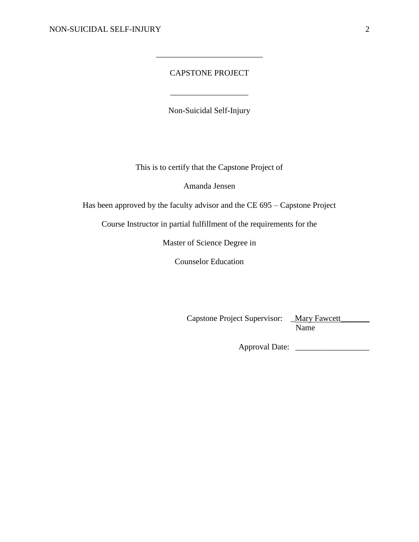# CAPSTONE PROJECT

\_\_\_\_\_\_\_\_\_\_\_\_\_\_\_\_\_\_\_

\_\_\_\_\_\_\_\_\_\_\_\_\_\_\_\_\_\_\_\_\_\_\_\_\_\_

Non-Suicidal Self-Injury

This is to certify that the Capstone Project of

Amanda Jensen

Has been approved by the faculty advisor and the CE 695 – Capstone Project

Course Instructor in partial fulfillment of the requirements for the

Master of Science Degree in

Counselor Education

Capstone Project Supervisor: \_ Mary Fawcett\_\_\_\_\_\_\_ Name

Approval Date: \_\_\_\_\_\_\_\_\_\_\_\_\_\_\_\_\_\_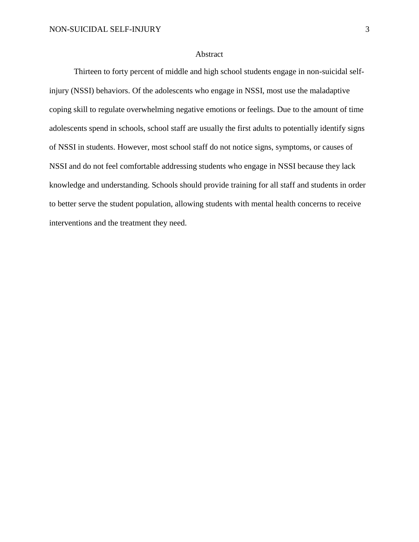# Abstract

Thirteen to forty percent of middle and high school students engage in non-suicidal selfinjury (NSSI) behaviors. Of the adolescents who engage in NSSI, most use the maladaptive coping skill to regulate overwhelming negative emotions or feelings. Due to the amount of time adolescents spend in schools, school staff are usually the first adults to potentially identify signs of NSSI in students. However, most school staff do not notice signs, symptoms, or causes of NSSI and do not feel comfortable addressing students who engage in NSSI because they lack knowledge and understanding. Schools should provide training for all staff and students in order to better serve the student population, allowing students with mental health concerns to receive interventions and the treatment they need.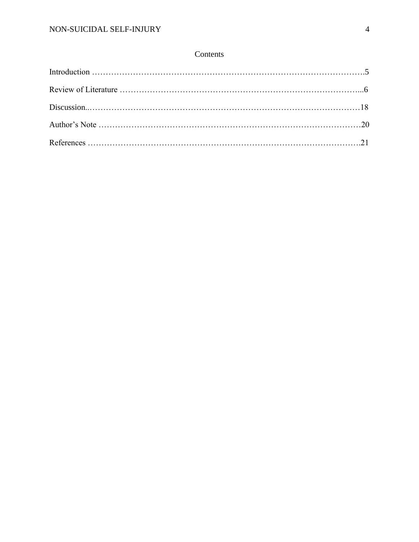# Contents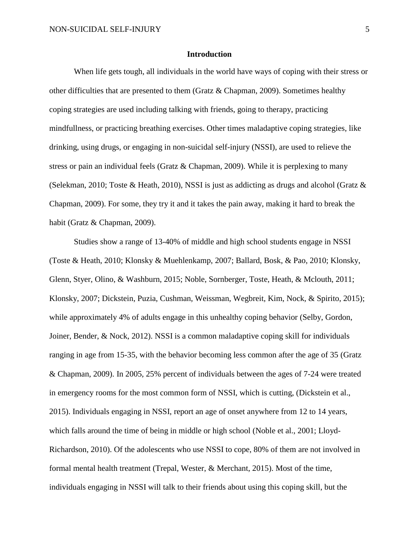# **Introduction**

When life gets tough, all individuals in the world have ways of coping with their stress or other difficulties that are presented to them (Gratz & Chapman, 2009). Sometimes healthy coping strategies are used including talking with friends, going to therapy, practicing mindfullness, or practicing breathing exercises. Other times maladaptive coping strategies, like drinking, using drugs, or engaging in non-suicidal self-injury (NSSI), are used to relieve the stress or pain an individual feels (Gratz & Chapman, 2009). While it is perplexing to many (Selekman, 2010; Toste & Heath, 2010), NSSI is just as addicting as drugs and alcohol (Gratz & Chapman, 2009). For some, they try it and it takes the pain away, making it hard to break the habit (Gratz & Chapman, 2009).

Studies show a range of 13-40% of middle and high school students engage in NSSI (Toste & Heath, 2010; Klonsky & Muehlenkamp, 2007; Ballard, Bosk, & Pao, 2010; Klonsky, Glenn, Styer, Olino, & Washburn, 2015; Noble, Sornberger, Toste, Heath, & Mclouth, 2011; Klonsky, 2007; Dickstein, Puzia, Cushman, Weissman, Wegbreit, Kim, Nock, & Spirito, 2015); while approximately 4% of adults engage in this unhealthy coping behavior (Selby, Gordon, Joiner, Bender, & Nock, 2012). NSSI is a common maladaptive coping skill for individuals ranging in age from 15-35, with the behavior becoming less common after the age of 35 (Gratz & Chapman, 2009). In 2005, 25% percent of individuals between the ages of 7-24 were treated in emergency rooms for the most common form of NSSI, which is cutting, (Dickstein et al., 2015). Individuals engaging in NSSI, report an age of onset anywhere from 12 to 14 years, which falls around the time of being in middle or high school (Noble et al., 2001; Lloyd-Richardson, 2010). Of the adolescents who use NSSI to cope, 80% of them are not involved in formal mental health treatment (Trepal, Wester, & Merchant, 2015). Most of the time, individuals engaging in NSSI will talk to their friends about using this coping skill, but the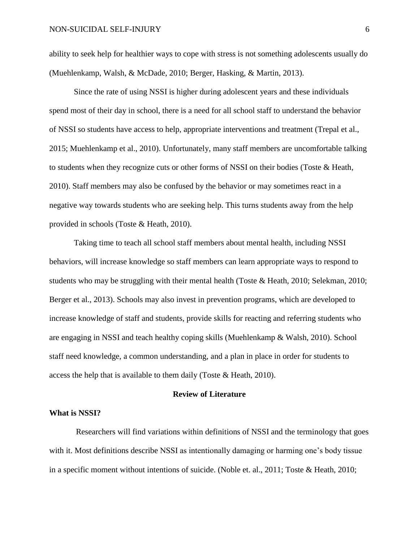ability to seek help for healthier ways to cope with stress is not something adolescents usually do (Muehlenkamp, Walsh, & McDade, 2010; Berger, Hasking, & Martin, 2013).

Since the rate of using NSSI is higher during adolescent years and these individuals spend most of their day in school, there is a need for all school staff to understand the behavior of NSSI so students have access to help, appropriate interventions and treatment (Trepal et al., 2015; Muehlenkamp et al., 2010). Unfortunately, many staff members are uncomfortable talking to students when they recognize cuts or other forms of NSSI on their bodies (Toste & Heath, 2010). Staff members may also be confused by the behavior or may sometimes react in a negative way towards students who are seeking help. This turns students away from the help provided in schools (Toste & Heath, 2010).

Taking time to teach all school staff members about mental health, including NSSI behaviors, will increase knowledge so staff members can learn appropriate ways to respond to students who may be struggling with their mental health (Toste & Heath, 2010; Selekman, 2010; Berger et al., 2013). Schools may also invest in prevention programs, which are developed to increase knowledge of staff and students, provide skills for reacting and referring students who are engaging in NSSI and teach healthy coping skills (Muehlenkamp & Walsh, 2010). School staff need knowledge, a common understanding, and a plan in place in order for students to access the help that is available to them daily (Toste & Heath, 2010).

#### **Review of Literature**

#### **What is NSSI?**

Researchers will find variations within definitions of NSSI and the terminology that goes with it. Most definitions describe NSSI as intentionally damaging or harming one's body tissue in a specific moment without intentions of suicide. (Noble et. al., 2011; Toste & Heath, 2010;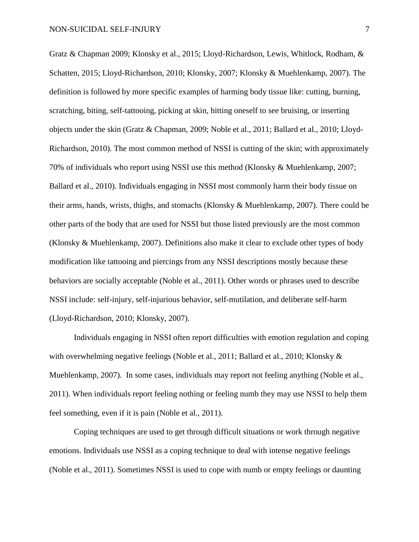Gratz & Chapman 2009; Klonsky et al., 2015; Lloyd-Richardson, Lewis, Whitlock, Rodham, & Schatten, 2015; Lloyd-Richardson, 2010; Klonsky, 2007; Klonsky & Muehlenkamp, 2007). The definition is followed by more specific examples of harming body tissue like: cutting, burning, scratching, biting, self-tattooing, picking at skin, hitting oneself to see bruising, or inserting objects under the skin (Gratz & Chapman, 2009; Noble et al., 2011; Ballard et al., 2010; Lloyd-Richardson, 2010). The most common method of NSSI is cutting of the skin; with approximately 70% of individuals who report using NSSI use this method (Klonsky & Muehlenkamp, 2007; Ballard et al., 2010). Individuals engaging in NSSI most commonly harm their body tissue on their arms, hands, wrists, thighs, and stomachs (Klonsky & Muehlenkamp, 2007). There could be other parts of the body that are used for NSSI but those listed previously are the most common (Klonsky & Muehlenkamp, 2007). Definitions also make it clear to exclude other types of body modification like tattooing and piercings from any NSSI descriptions mostly because these behaviors are socially acceptable (Noble et al., 2011). Other words or phrases used to describe NSSI include: self-injury, self-injurious behavior, self-mutilation, and deliberate self-harm (Lloyd-Richardson, 2010; Klonsky, 2007).

Individuals engaging in NSSI often report difficulties with emotion regulation and coping with overwhelming negative feelings (Noble et al., 2011; Ballard et al., 2010; Klonsky & Muehlenkamp, 2007). In some cases, individuals may report not feeling anything (Noble et al., 2011). When individuals report feeling nothing or feeling numb they may use NSSI to help them feel something, even if it is pain (Noble et al., 2011).

Coping techniques are used to get through difficult situations or work through negative emotions. Individuals use NSSI as a coping technique to deal with intense negative feelings (Noble et al., 2011). Sometimes NSSI is used to cope with numb or empty feelings or daunting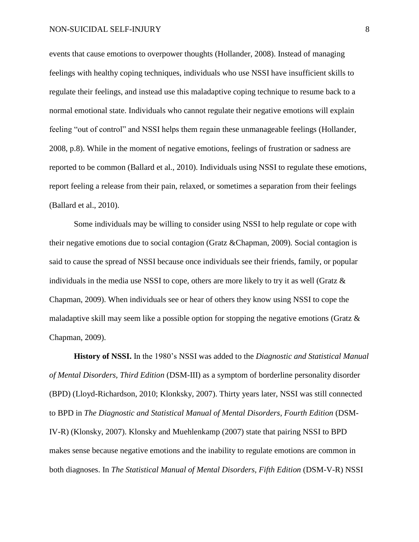events that cause emotions to overpower thoughts (Hollander, 2008). Instead of managing feelings with healthy coping techniques, individuals who use NSSI have insufficient skills to regulate their feelings, and instead use this maladaptive coping technique to resume back to a normal emotional state. Individuals who cannot regulate their negative emotions will explain feeling "out of control" and NSSI helps them regain these unmanageable feelings (Hollander, 2008, p.8). While in the moment of negative emotions, feelings of frustration or sadness are reported to be common (Ballard et al., 2010). Individuals using NSSI to regulate these emotions, report feeling a release from their pain, relaxed, or sometimes a separation from their feelings (Ballard et al., 2010).

Some individuals may be willing to consider using NSSI to help regulate or cope with their negative emotions due to social contagion (Gratz &Chapman, 2009). Social contagion is said to cause the spread of NSSI because once individuals see their friends, family, or popular individuals in the media use NSSI to cope, others are more likely to try it as well (Gratz & Chapman, 2009). When individuals see or hear of others they know using NSSI to cope the maladaptive skill may seem like a possible option for stopping the negative emotions (Gratz  $\&$ Chapman, 2009).

**History of NSSI.** In the 1980's NSSI was added to the *Diagnostic and Statistical Manual of Mental Disorders, Third Edition* (DSM-III) as a symptom of borderline personality disorder (BPD) (Lloyd-Richardson, 2010; Klonksky, 2007). Thirty years later, NSSI was still connected to BPD in *The Diagnostic and Statistical Manual of Mental Disorders, Fourth Edition* (DSM-IV-R) (Klonsky, 2007). Klonsky and Muehlenkamp (2007) state that pairing NSSI to BPD makes sense because negative emotions and the inability to regulate emotions are common in both diagnoses. In *The Statistical Manual of Mental Disorders, Fifth Edition* (DSM-V-R) NSSI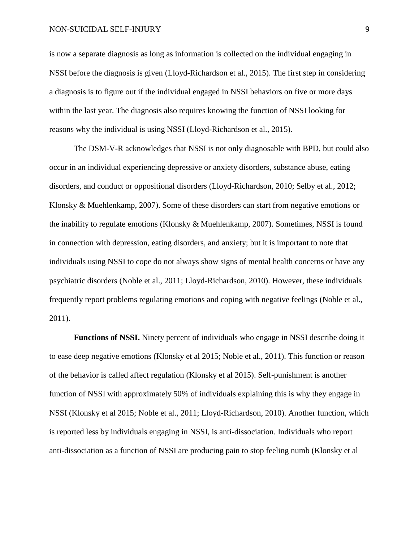#### NON-SUICIDAL SELF-INJURY 9

is now a separate diagnosis as long as information is collected on the individual engaging in NSSI before the diagnosis is given (Lloyd-Richardson et al., 2015). The first step in considering a diagnosis is to figure out if the individual engaged in NSSI behaviors on five or more days within the last year. The diagnosis also requires knowing the function of NSSI looking for reasons why the individual is using NSSI (Lloyd-Richardson et al., 2015).

The DSM-V-R acknowledges that NSSI is not only diagnosable with BPD, but could also occur in an individual experiencing depressive or anxiety disorders, substance abuse, eating disorders, and conduct or oppositional disorders (Lloyd-Richardson, 2010; Selby et al., 2012; Klonsky & Muehlenkamp, 2007). Some of these disorders can start from negative emotions or the inability to regulate emotions (Klonsky & Muehlenkamp, 2007). Sometimes, NSSI is found in connection with depression, eating disorders, and anxiety; but it is important to note that individuals using NSSI to cope do not always show signs of mental health concerns or have any psychiatric disorders (Noble et al., 2011; Lloyd-Richardson, 2010). However, these individuals frequently report problems regulating emotions and coping with negative feelings (Noble et al., 2011).

**Functions of NSSI.** Ninety percent of individuals who engage in NSSI describe doing it to ease deep negative emotions (Klonsky et al 2015; Noble et al., 2011). This function or reason of the behavior is called affect regulation (Klonsky et al 2015). Self-punishment is another function of NSSI with approximately 50% of individuals explaining this is why they engage in NSSI (Klonsky et al 2015; Noble et al., 2011; Lloyd-Richardson, 2010). Another function, which is reported less by individuals engaging in NSSI, is anti-dissociation. Individuals who report anti-dissociation as a function of NSSI are producing pain to stop feeling numb (Klonsky et al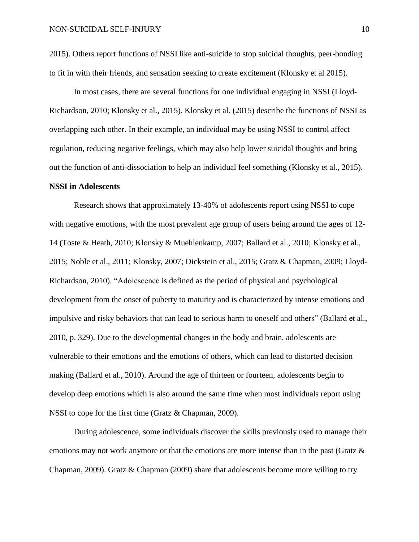2015). Others report functions of NSSI like anti-suicide to stop suicidal thoughts, peer-bonding to fit in with their friends, and sensation seeking to create excitement (Klonsky et al 2015).

In most cases, there are several functions for one individual engaging in NSSI (Lloyd-Richardson, 2010; Klonsky et al., 2015). Klonsky et al. (2015) describe the functions of NSSI as overlapping each other. In their example, an individual may be using NSSI to control affect regulation, reducing negative feelings, which may also help lower suicidal thoughts and bring out the function of anti-dissociation to help an individual feel something (Klonsky et al., 2015).

### **NSSI in Adolescents**

Research shows that approximately 13-40% of adolescents report using NSSI to cope with negative emotions, with the most prevalent age group of users being around the ages of 12-14 (Toste & Heath, 2010; Klonsky & Muehlenkamp, 2007; Ballard et al., 2010; Klonsky et al., 2015; Noble et al., 2011; Klonsky, 2007; Dickstein et al., 2015; Gratz & Chapman, 2009; Lloyd-Richardson, 2010). "Adolescence is defined as the period of physical and psychological development from the onset of puberty to maturity and is characterized by intense emotions and impulsive and risky behaviors that can lead to serious harm to oneself and others" (Ballard et al., 2010, p. 329). Due to the developmental changes in the body and brain, adolescents are vulnerable to their emotions and the emotions of others, which can lead to distorted decision making (Ballard et al., 2010). Around the age of thirteen or fourteen, adolescents begin to develop deep emotions which is also around the same time when most individuals report using NSSI to cope for the first time (Gratz & Chapman, 2009).

During adolescence, some individuals discover the skills previously used to manage their emotions may not work anymore or that the emotions are more intense than in the past (Gratz  $\&$ Chapman, 2009). Gratz  $\&$  Chapman (2009) share that adolescents become more willing to try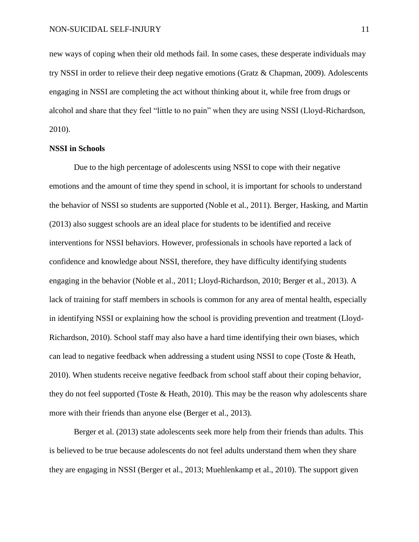new ways of coping when their old methods fail. In some cases, these desperate individuals may try NSSI in order to relieve their deep negative emotions (Gratz & Chapman, 2009). Adolescents engaging in NSSI are completing the act without thinking about it, while free from drugs or alcohol and share that they feel "little to no pain" when they are using NSSI (Lloyd-Richardson, 2010).

#### **NSSI in Schools**

Due to the high percentage of adolescents using NSSI to cope with their negative emotions and the amount of time they spend in school, it is important for schools to understand the behavior of NSSI so students are supported (Noble et al., 2011). Berger, Hasking, and Martin (2013) also suggest schools are an ideal place for students to be identified and receive interventions for NSSI behaviors. However, professionals in schools have reported a lack of confidence and knowledge about NSSI, therefore, they have difficulty identifying students engaging in the behavior (Noble et al., 2011; Lloyd-Richardson, 2010; Berger et al., 2013). A lack of training for staff members in schools is common for any area of mental health, especially in identifying NSSI or explaining how the school is providing prevention and treatment (Lloyd-Richardson, 2010). School staff may also have a hard time identifying their own biases, which can lead to negative feedback when addressing a student using NSSI to cope (Toste & Heath, 2010). When students receive negative feedback from school staff about their coping behavior, they do not feel supported (Toste & Heath, 2010). This may be the reason why adolescents share more with their friends than anyone else (Berger et al., 2013).

Berger et al. (2013) state adolescents seek more help from their friends than adults. This is believed to be true because adolescents do not feel adults understand them when they share they are engaging in NSSI (Berger et al., 2013; Muehlenkamp et al., 2010). The support given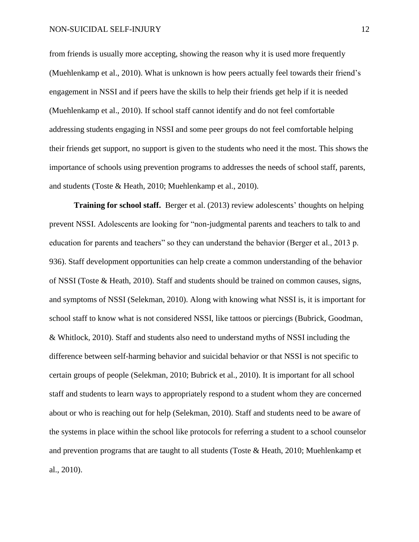from friends is usually more accepting, showing the reason why it is used more frequently (Muehlenkamp et al., 2010). What is unknown is how peers actually feel towards their friend's engagement in NSSI and if peers have the skills to help their friends get help if it is needed (Muehlenkamp et al., 2010). If school staff cannot identify and do not feel comfortable addressing students engaging in NSSI and some peer groups do not feel comfortable helping their friends get support, no support is given to the students who need it the most. This shows the importance of schools using prevention programs to addresses the needs of school staff, parents, and students (Toste & Heath, 2010; Muehlenkamp et al., 2010).

**Training for school staff.** Berger et al. (2013) review adolescents' thoughts on helping prevent NSSI. Adolescents are looking for "non-judgmental parents and teachers to talk to and education for parents and teachers" so they can understand the behavior (Berger et al., 2013 p. 936). Staff development opportunities can help create a common understanding of the behavior of NSSI (Toste & Heath, 2010). Staff and students should be trained on common causes, signs, and symptoms of NSSI (Selekman, 2010). Along with knowing what NSSI is, it is important for school staff to know what is not considered NSSI, like tattoos or piercings (Bubrick, Goodman, & Whitlock, 2010). Staff and students also need to understand myths of NSSI including the difference between self-harming behavior and suicidal behavior or that NSSI is not specific to certain groups of people (Selekman, 2010; Bubrick et al., 2010). It is important for all school staff and students to learn ways to appropriately respond to a student whom they are concerned about or who is reaching out for help (Selekman, 2010). Staff and students need to be aware of the systems in place within the school like protocols for referring a student to a school counselor and prevention programs that are taught to all students (Toste & Heath, 2010; Muehlenkamp et al., 2010).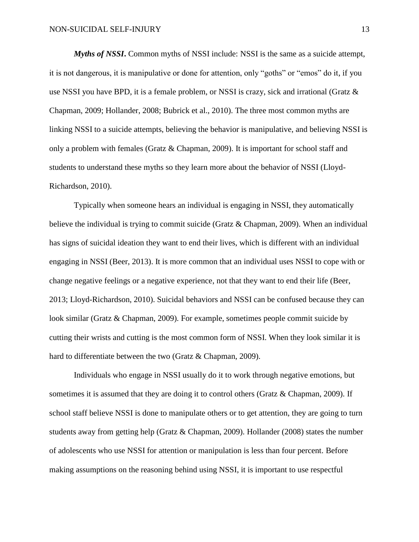*Myths of NSSI***.** Common myths of NSSI include: NSSI is the same as a suicide attempt, it is not dangerous, it is manipulative or done for attention, only "goths" or "emos" do it, if you use NSSI you have BPD, it is a female problem, or NSSI is crazy, sick and irrational (Gratz & Chapman, 2009; Hollander, 2008; Bubrick et al., 2010). The three most common myths are linking NSSI to a suicide attempts, believing the behavior is manipulative, and believing NSSI is only a problem with females (Gratz & Chapman, 2009). It is important for school staff and students to understand these myths so they learn more about the behavior of NSSI (Lloyd-Richardson, 2010).

Typically when someone hears an individual is engaging in NSSI, they automatically believe the individual is trying to commit suicide (Gratz & Chapman, 2009). When an individual has signs of suicidal ideation they want to end their lives, which is different with an individual engaging in NSSI (Beer, 2013). It is more common that an individual uses NSSI to cope with or change negative feelings or a negative experience, not that they want to end their life (Beer, 2013; Lloyd-Richardson, 2010). Suicidal behaviors and NSSI can be confused because they can look similar (Gratz & Chapman, 2009). For example, sometimes people commit suicide by cutting their wrists and cutting is the most common form of NSSI. When they look similar it is hard to differentiate between the two (Gratz & Chapman, 2009).

Individuals who engage in NSSI usually do it to work through negative emotions, but sometimes it is assumed that they are doing it to control others (Gratz & Chapman, 2009). If school staff believe NSSI is done to manipulate others or to get attention, they are going to turn students away from getting help (Gratz & Chapman, 2009). Hollander (2008) states the number of adolescents who use NSSI for attention or manipulation is less than four percent. Before making assumptions on the reasoning behind using NSSI, it is important to use respectful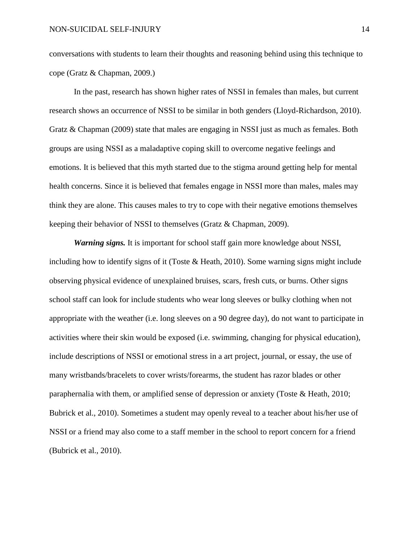conversations with students to learn their thoughts and reasoning behind using this technique to cope (Gratz & Chapman, 2009.)

In the past, research has shown higher rates of NSSI in females than males, but current research shows an occurrence of NSSI to be similar in both genders (Lloyd-Richardson, 2010). Gratz & Chapman (2009) state that males are engaging in NSSI just as much as females. Both groups are using NSSI as a maladaptive coping skill to overcome negative feelings and emotions. It is believed that this myth started due to the stigma around getting help for mental health concerns. Since it is believed that females engage in NSSI more than males, males may think they are alone. This causes males to try to cope with their negative emotions themselves keeping their behavior of NSSI to themselves (Gratz & Chapman, 2009).

*Warning signs.* It is important for school staff gain more knowledge about NSSI, including how to identify signs of it (Toste & Heath, 2010). Some warning signs might include observing physical evidence of unexplained bruises, scars, fresh cuts, or burns. Other signs school staff can look for include students who wear long sleeves or bulky clothing when not appropriate with the weather (i.e. long sleeves on a 90 degree day), do not want to participate in activities where their skin would be exposed (i.e. swimming, changing for physical education), include descriptions of NSSI or emotional stress in a art project, journal, or essay, the use of many wristbands/bracelets to cover wrists/forearms, the student has razor blades or other paraphernalia with them, or amplified sense of depression or anxiety (Toste & Heath, 2010; Bubrick et al., 2010). Sometimes a student may openly reveal to a teacher about his/her use of NSSI or a friend may also come to a staff member in the school to report concern for a friend (Bubrick et al., 2010).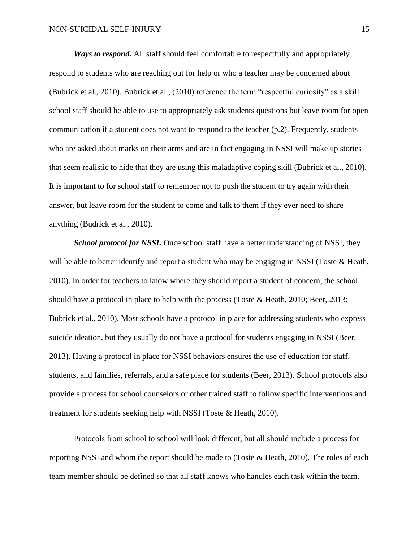*Ways to respond.* All staff should feel comfortable to respectfully and appropriately respond to students who are reaching out for help or who a teacher may be concerned about (Bubrick et al., 2010). Bubrick et al., (2010) reference the term "respectful curiosity" as a skill school staff should be able to use to appropriately ask students questions but leave room for open communication if a student does not want to respond to the teacher (p.2). Frequently, students who are asked about marks on their arms and are in fact engaging in NSSI will make up stories that seem realistic to hide that they are using this maladaptive coping skill (Bubrick et al., 2010). It is important to for school staff to remember not to push the student to try again with their answer, but leave room for the student to come and talk to them if they ever need to share anything (Budrick et al., 2010).

*School protocol for NSSI*. Once school staff have a better understanding of NSSI, they will be able to better identify and report a student who may be engaging in NSSI (Toste & Heath, 2010). In order for teachers to know where they should report a student of concern, the school should have a protocol in place to help with the process (Toste & Heath, 2010; Beer, 2013; Bubrick et al., 2010). Most schools have a protocol in place for addressing students who express suicide ideation, but they usually do not have a protocol for students engaging in NSSI (Beer, 2013). Having a protocol in place for NSSI behaviors ensures the use of education for staff, students, and families, referrals, and a safe place for students (Beer, 2013). School protocols also provide a process for school counselors or other trained staff to follow specific interventions and treatment for students seeking help with NSSI (Toste & Heath, 2010).

Protocols from school to school will look different, but all should include a process for reporting NSSI and whom the report should be made to (Toste & Heath, 2010). The roles of each team member should be defined so that all staff knows who handles each task within the team.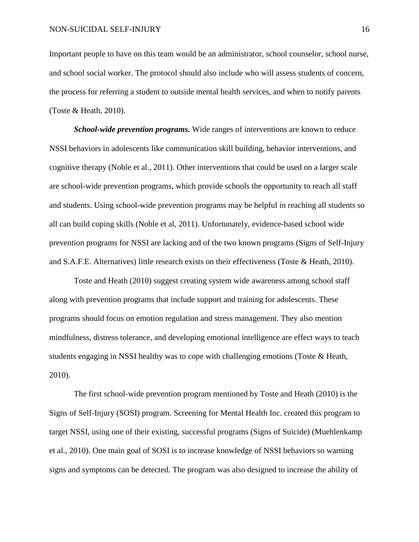Important people to have on this team would be an administrator, school counselor, school nurse, and school social worker. The protocol should also include who will assess students of concern, the process for referring a student to outside mental health services, and when to notify parents (Toste & Heath, 2010).

*School-wide prevention programs.* Wide ranges of interventions are known to reduce NSSI behaviors in adolescents like communication skill building, behavior interventions, and cognitive therapy (Noble et al., 2011). Other interventions that could be used on a larger scale are school-wide prevention programs, which provide schools the opportunity to reach all staff and students. Using school-wide prevention programs may be helpful in reaching all students so all can build coping skills (Noble et al, 2011). Unfortunately, evidence-based school wide prevention programs for NSSI are lacking and of the two known programs (Signs of Self-Injury and S.A.F.E. Alternatives) little research exists on their effectiveness (Toste & Heath, 2010).

Toste and Heath (2010) suggest creating system wide awareness among school staff along with prevention programs that include support and training for adolescents. These programs should focus on emotion regulation and stress management. They also mention mindfulness, distress tolerance, and developing emotional intelligence are effect ways to teach students engaging in NSSI healthy was to cope with challenging emotions (Toste & Heath, 2010).

The first school-wide prevention program mentioned by Toste and Heath (2010) is the Signs of Self-Injury (SOSI) program. Screening for Mental Health Inc. created this program to target NSSI, using one of their existing, successful programs (Signs of Suicide) (Muehlenkamp et al., 2010). One main goal of SOSI is to increase knowledge of NSSI behaviors so warning signs and symptoms can be detected. The program was also designed to increase the ability of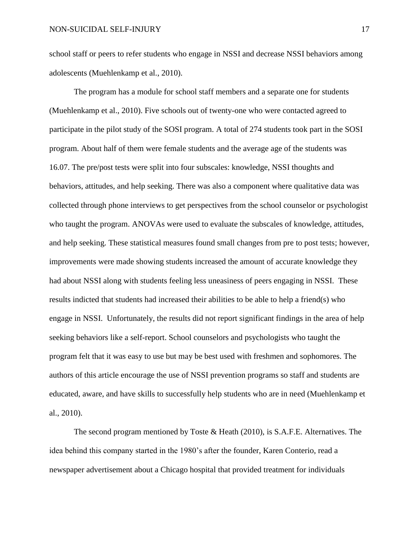school staff or peers to refer students who engage in NSSI and decrease NSSI behaviors among adolescents (Muehlenkamp et al., 2010).

The program has a module for school staff members and a separate one for students (Muehlenkamp et al., 2010). Five schools out of twenty-one who were contacted agreed to participate in the pilot study of the SOSI program. A total of 274 students took part in the SOSI program. About half of them were female students and the average age of the students was 16.07. The pre/post tests were split into four subscales: knowledge, NSSI thoughts and behaviors, attitudes, and help seeking. There was also a component where qualitative data was collected through phone interviews to get perspectives from the school counselor or psychologist who taught the program. ANOVAs were used to evaluate the subscales of knowledge, attitudes, and help seeking. These statistical measures found small changes from pre to post tests; however, improvements were made showing students increased the amount of accurate knowledge they had about NSSI along with students feeling less uneasiness of peers engaging in NSSI. These results indicted that students had increased their abilities to be able to help a friend(s) who engage in NSSI. Unfortunately, the results did not report significant findings in the area of help seeking behaviors like a self-report. School counselors and psychologists who taught the program felt that it was easy to use but may be best used with freshmen and sophomores. The authors of this article encourage the use of NSSI prevention programs so staff and students are educated, aware, and have skills to successfully help students who are in need (Muehlenkamp et al., 2010).

The second program mentioned by Toste & Heath (2010), is S.A.F.E. Alternatives. The idea behind this company started in the 1980's after the founder, Karen Conterio, read a newspaper advertisement about a Chicago hospital that provided treatment for individuals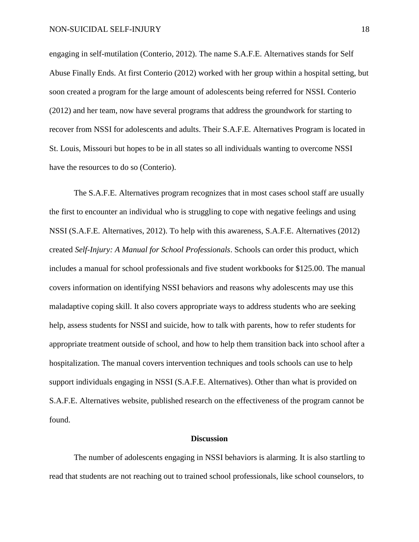engaging in self-mutilation (Conterio, 2012). The name S.A.F.E. Alternatives stands for Self Abuse Finally Ends. At first Conterio (2012) worked with her group within a hospital setting, but soon created a program for the large amount of adolescents being referred for NSSI. Conterio (2012) and her team, now have several programs that address the groundwork for starting to recover from NSSI for adolescents and adults. Their S.A.F.E. Alternatives Program is located in St. Louis, Missouri but hopes to be in all states so all individuals wanting to overcome NSSI have the resources to do so (Conterio).

The S.A.F.E. Alternatives program recognizes that in most cases school staff are usually the first to encounter an individual who is struggling to cope with negative feelings and using NSSI (S.A.F.E. Alternatives, 2012). To help with this awareness, S.A.F.E. Alternatives (2012) created *Self-Injury: A Manual for School Professionals*. Schools can order this product, which includes a manual for school professionals and five student workbooks for \$125.00. The manual covers information on identifying NSSI behaviors and reasons why adolescents may use this maladaptive coping skill. It also covers appropriate ways to address students who are seeking help, assess students for NSSI and suicide, how to talk with parents, how to refer students for appropriate treatment outside of school, and how to help them transition back into school after a hospitalization. The manual covers intervention techniques and tools schools can use to help support individuals engaging in NSSI (S.A.F.E. Alternatives). Other than what is provided on S.A.F.E. Alternatives website, published research on the effectiveness of the program cannot be found.

#### **Discussion**

The number of adolescents engaging in NSSI behaviors is alarming. It is also startling to read that students are not reaching out to trained school professionals, like school counselors, to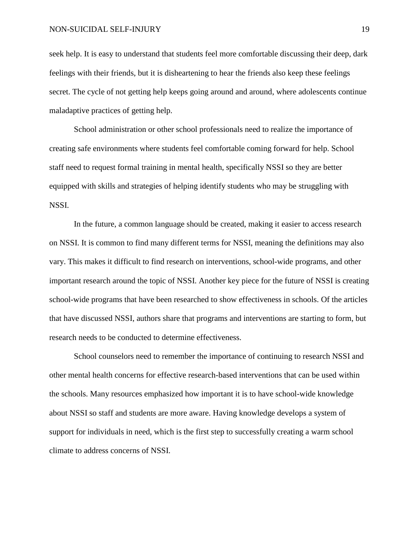seek help. It is easy to understand that students feel more comfortable discussing their deep, dark feelings with their friends, but it is disheartening to hear the friends also keep these feelings secret. The cycle of not getting help keeps going around and around, where adolescents continue maladaptive practices of getting help.

School administration or other school professionals need to realize the importance of creating safe environments where students feel comfortable coming forward for help. School staff need to request formal training in mental health, specifically NSSI so they are better equipped with skills and strategies of helping identify students who may be struggling with NSSI.

In the future, a common language should be created, making it easier to access research on NSSI. It is common to find many different terms for NSSI, meaning the definitions may also vary. This makes it difficult to find research on interventions, school-wide programs, and other important research around the topic of NSSI. Another key piece for the future of NSSI is creating school-wide programs that have been researched to show effectiveness in schools. Of the articles that have discussed NSSI, authors share that programs and interventions are starting to form, but research needs to be conducted to determine effectiveness.

School counselors need to remember the importance of continuing to research NSSI and other mental health concerns for effective research-based interventions that can be used within the schools. Many resources emphasized how important it is to have school-wide knowledge about NSSI so staff and students are more aware. Having knowledge develops a system of support for individuals in need, which is the first step to successfully creating a warm school climate to address concerns of NSSI.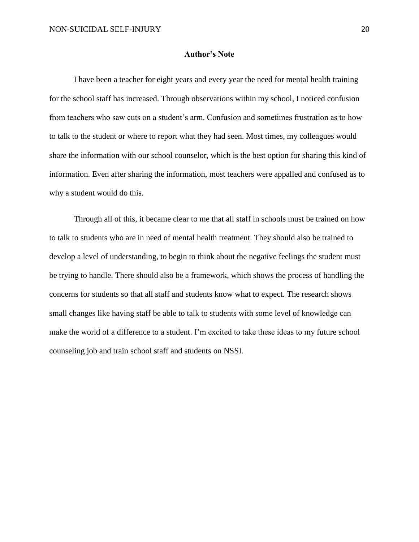#### **Author's Note**

I have been a teacher for eight years and every year the need for mental health training for the school staff has increased. Through observations within my school, I noticed confusion from teachers who saw cuts on a student's arm. Confusion and sometimes frustration as to how to talk to the student or where to report what they had seen. Most times, my colleagues would share the information with our school counselor, which is the best option for sharing this kind of information. Even after sharing the information, most teachers were appalled and confused as to why a student would do this.

Through all of this, it became clear to me that all staff in schools must be trained on how to talk to students who are in need of mental health treatment. They should also be trained to develop a level of understanding, to begin to think about the negative feelings the student must be trying to handle. There should also be a framework, which shows the process of handling the concerns for students so that all staff and students know what to expect. The research shows small changes like having staff be able to talk to students with some level of knowledge can make the world of a difference to a student. I'm excited to take these ideas to my future school counseling job and train school staff and students on NSSI.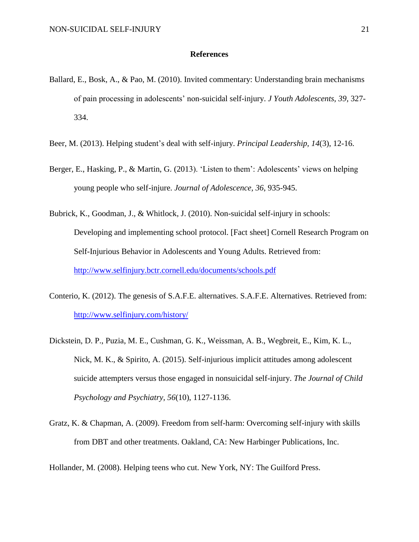#### **References**

- Ballard, E., Bosk, A., & Pao, M. (2010). Invited commentary: Understanding brain mechanisms of pain processing in adolescents' non-suicidal self-injury. *J Youth Adolescents, 39*, 327- 334.
- Beer, M. (2013). Helping student's deal with self-injury. *Principal Leadership, 14*(3), 12-16.
- Berger, E., Hasking, P., & Martin, G. (2013). 'Listen to them': Adolescents' views on helping young people who self-injure. *Journal of Adolescence, 36*, 935-945.
- Bubrick, K., Goodman, J., & Whitlock, J. (2010). Non-suicidal self-injury in schools: Developing and implementing school protocol. [Fact sheet] Cornell Research Program on Self-Injurious Behavior in Adolescents and Young Adults. Retrieved from: <http://www.selfinjury.bctr.cornell.edu/documents/schools.pdf>
- Conterio, K. (2012). The genesis of S.A.F.E. alternatives. S.A.F.E. Alternatives. Retrieved from: <http://www.selfinjury.com/history/>
- Dickstein, D. P., Puzia, M. E., Cushman, G. K., Weissman, A. B., Wegbreit, E., Kim, K. L., Nick, M. K., & Spirito, A. (2015). Self-injurious implicit attitudes among adolescent suicide attempters versus those engaged in nonsuicidal self-injury. *The Journal of Child Psychology and Psychiatry, 56*(10), 1127-1136.
- Gratz, K. & Chapman, A. (2009). Freedom from self-harm: Overcoming self-injury with skills from DBT and other treatments. Oakland, CA: New Harbinger Publications, Inc.
- Hollander, M. (2008). Helping teens who cut. New York, NY: The Guilford Press.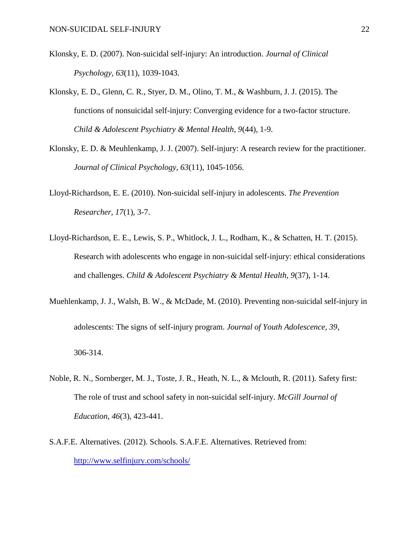- Klonsky, E. D. (2007). Non-suicidal self-injury: An introduction. *Journal of Clinical Psychology, 63*(11), 1039-1043.
- Klonsky, E. D., Glenn, C. R., Styer, D. M., Olino, T. M., & Washburn, J. J. (2015). The functions of nonsuicidal self-injury: Converging evidence for a two-factor structure. *Child & Adolescent Psychiatry & Mental Health, 9*(44), 1-9.
- Klonsky, E. D. & Meuhlenkamp, J. J. (2007). Self-injury: A research review for the practitioner. *Journal of Clinical Psychology, 63*(11), 1045-1056.
- Lloyd-Richardson, E. E. (2010). Non-suicidal self-injury in adolescents. *The Prevention Researcher, 17*(1), 3-7.
- Lloyd-Richardson, E. E., Lewis, S. P., Whitlock, J. L., Rodham, K., & Schatten, H. T. (2015). Research with adolescents who engage in non-suicidal self-injury: ethical considerations and challenges. *Child & Adolescent Psychiatry & Mental Health, 9*(37), 1-14.
- Muehlenkamp, J. J., Walsh, B. W., & McDade, M. (2010). Preventing non-suicidal self-injury in adolescents: The signs of self-injury program. *Journal of Youth Adolescence, 39*, 306-314.
- Noble, R. N., Sornberger, M. J., Toste, J. R., Heath, N. L., & Mclouth, R. (2011). Safety first: The role of trust and school safety in non-suicidal self-injury. *McGill Journal of Education, 46*(3), 423-441.
- S.A.F.E. Alternatives. (2012). Schools. S.A.F.E. Alternatives. Retrieved from: <http://www.selfinjury.com/schools/>